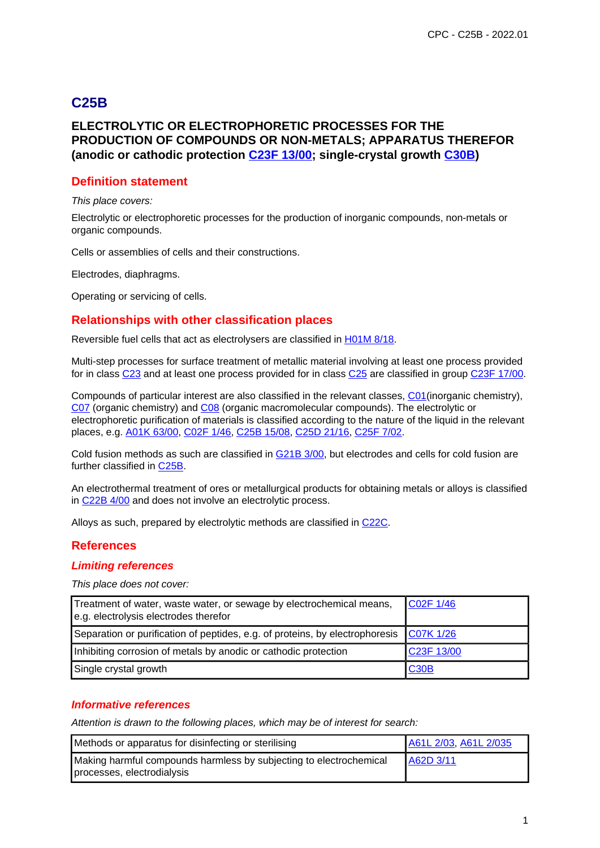# **C25B**

## **ELECTROLYTIC OR ELECTROPHORETIC PROCESSES FOR THE PRODUCTION OF COMPOUNDS OR NON-METALS; APPARATUS THEREFOR (anodic or cathodic protection C23F 13/00; single-crystal growth C30B)**

#### **Definition statement**

This place covers:

Electrolytic or electrophoretic processes for the production of inorganic compounds, non-metals or organic compounds.

Cells or assemblies of cells and their constructions.

Electrodes, diaphragms.

Operating or servicing of cells.

#### **Relationships with other classification places**

Reversible fuel cells that act as electrolysers are classified in H01M 8/18.

Multi-step processes for surface treatment of metallic material involving at least one process provided for in class C23 and at least one process provided for in class C25 are classified in group C23F 17/00.

Compounds of particular interest are also classified in the relevant classes, C01(inorganic chemistry), C07 (organic chemistry) and C08 (organic macromolecular compounds). The electrolytic or electrophoretic purification of materials is classified according to the nature of the liquid in the relevant places, e.g. A01K 63/00, C02F 1/46, C25B 15/08, C25D 21/16, C25F 7/02.

Cold fusion methods as such are classified in G21B 3/00, but electrodes and cells for cold fusion are further classified in C25B.

An electrothermal treatment of ores or metallurgical products for obtaining metals or alloys is classified in C22B 4/00 and does not involve an electrolytic process.

Alloys as such, prepared by electrolytic methods are classified in C22C.

#### **References**

#### **Limiting references**

This place does not cover:

| Treatment of water, waste water, or sewage by electrochemical means,<br>e.g. electrolysis electrodes therefor | $\big $ C02F 1/46 |
|---------------------------------------------------------------------------------------------------------------|-------------------|
| Separation or purification of peptides, e.g. of proteins, by electrophoresis                                  | C07K 1/26         |
| Inhibiting corrosion of metals by anodic or cathodic protection                                               | C23F 13/00        |
| Single crystal growth                                                                                         | <b>C30B</b>       |

#### **Informative references**

| Methods or apparatus for disinfecting or sterilising                                             | A61L 2/03, A61L 2/035 |
|--------------------------------------------------------------------------------------------------|-----------------------|
| Making harmful compounds harmless by subjecting to electrochemical<br>processes, electrodialysis | A62D 3/11             |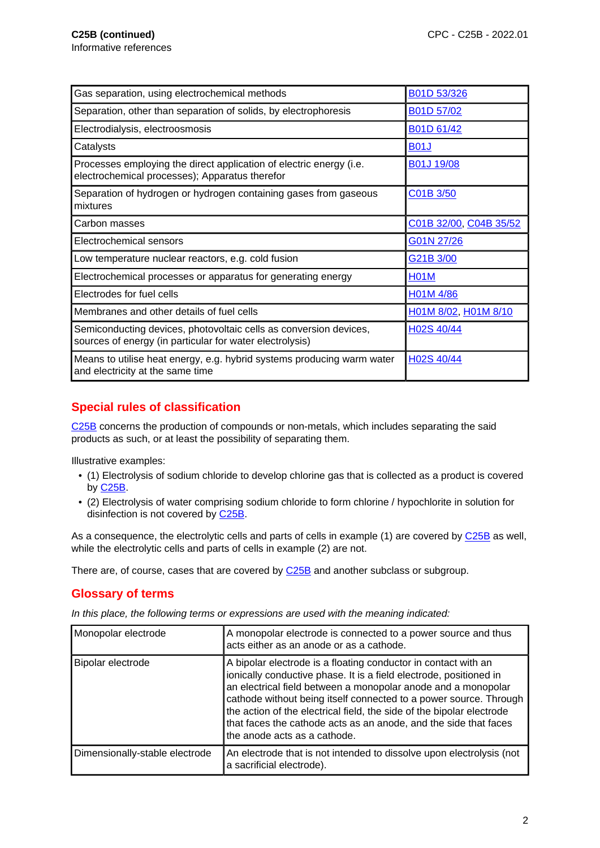| Gas separation, using electrochemical methods                                                                                 | B01D 53/326            |
|-------------------------------------------------------------------------------------------------------------------------------|------------------------|
| Separation, other than separation of solids, by electrophoresis                                                               | B01D 57/02             |
| Electrodialysis, electroosmosis                                                                                               | B01D 61/42             |
| Catalysts                                                                                                                     | <b>B01J</b>            |
| Processes employing the direct application of electric energy (i.e.<br>electrochemical processes); Apparatus therefor         | B01J 19/08             |
| Separation of hydrogen or hydrogen containing gases from gaseous<br>mixtures                                                  | C01B 3/50              |
| Carbon masses                                                                                                                 | C01B 32/00, C04B 35/52 |
| Electrochemical sensors                                                                                                       | G01N 27/26             |
| Low temperature nuclear reactors, e.g. cold fusion                                                                            | G21B 3/00              |
| Electrochemical processes or apparatus for generating energy                                                                  | <b>H01M</b>            |
| Electrodes for fuel cells                                                                                                     | H01M 4/86              |
| Membranes and other details of fuel cells                                                                                     | H01M 8/02, H01M 8/10   |
| Semiconducting devices, photovoltaic cells as conversion devices,<br>sources of energy (in particular for water electrolysis) | H02S 40/44             |
| Means to utilise heat energy, e.g. hybrid systems producing warm water<br>and electricity at the same time                    | H02S 40/44             |

## **Special rules of classification**

C25B concerns the production of compounds or non-metals, which includes separating the said products as such, or at least the possibility of separating them.

Illustrative examples:

- (1) Electrolysis of sodium chloride to develop chlorine gas that is collected as a product is covered by C25B.
- (2) Electrolysis of water comprising sodium chloride to form chlorine / hypochlorite in solution for disinfection is not covered by C25B.

As a consequence, the electrolytic cells and parts of cells in example (1) are covered by C25B as well, while the electrolytic cells and parts of cells in example (2) are not.

There are, of course, cases that are covered by C25B and another subclass or subgroup.

### **Glossary of terms**

In this place, the following terms or expressions are used with the meaning indicated:

| Monopolar electrode            | A monopolar electrode is connected to a power source and thus<br>acts either as an anode or as a cathode.                                                                                                                                                                                                                                                                                                                                               |
|--------------------------------|---------------------------------------------------------------------------------------------------------------------------------------------------------------------------------------------------------------------------------------------------------------------------------------------------------------------------------------------------------------------------------------------------------------------------------------------------------|
| Bipolar electrode              | A bipolar electrode is a floating conductor in contact with an<br>ionically conductive phase. It is a field electrode, positioned in<br>an electrical field between a monopolar anode and a monopolar<br>cathode without being itself connected to a power source. Through<br>the action of the electrical field, the side of the bipolar electrode<br>that faces the cathode acts as an anode, and the side that faces<br>the anode acts as a cathode. |
| Dimensionally-stable electrode | An electrode that is not intended to dissolve upon electrolysis (not<br>a sacrificial electrode).                                                                                                                                                                                                                                                                                                                                                       |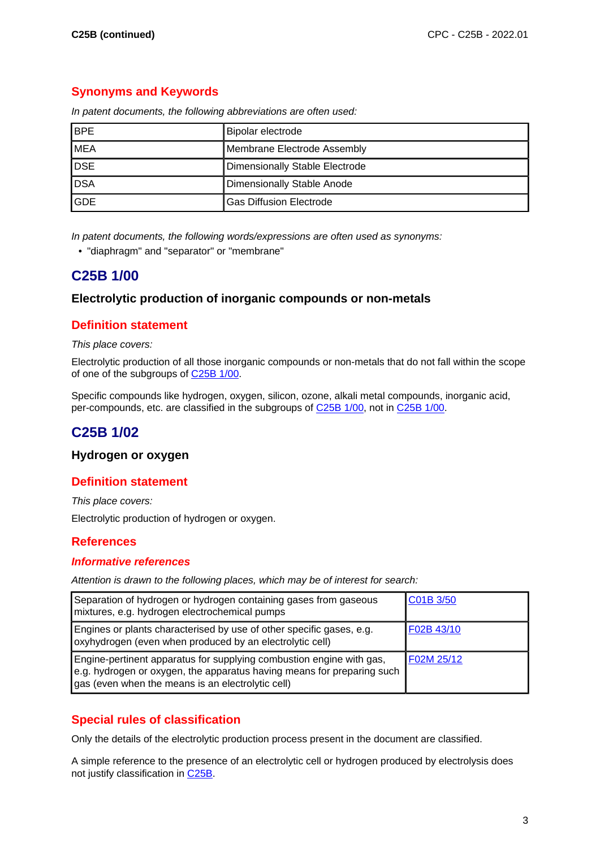## **Synonyms and Keywords**

| <b>BPE</b> | Bipolar electrode                     |
|------------|---------------------------------------|
| <b>MEA</b> | Membrane Electrode Assembly           |
| <b>DSE</b> | <b>Dimensionally Stable Electrode</b> |
| <b>DSA</b> | Dimensionally Stable Anode            |
| <b>GDE</b> | <b>Gas Diffusion Electrode</b>        |

In patent documents, the following abbreviations are often used:

In patent documents, the following words/expressions are often used as synonyms:

• "diaphragm" and "separator" or "membrane"

## **C25B 1/00**

#### **Electrolytic production of inorganic compounds or non-metals**

### **Definition statement**

#### This place covers:

Electrolytic production of all those inorganic compounds or non-metals that do not fall within the scope of one of the subgroups of C25B 1/00.

Specific compounds like hydrogen, oxygen, silicon, ozone, alkali metal compounds, inorganic acid, per-compounds, etc. are classified in the subgroups of C25B 1/00, not in C25B 1/00.

## **C25B 1/02**

#### **Hydrogen or oxygen**

### **Definition statement**

This place covers:

Electrolytic production of hydrogen or oxygen.

#### **References**

#### **Informative references**

Attention is drawn to the following places, which may be of interest for search:

| Separation of hydrogen or hydrogen containing gases from gaseous<br>mixtures, e.g. hydrogen electrochemical pumps                                                                                   | C01B 3/50  |
|-----------------------------------------------------------------------------------------------------------------------------------------------------------------------------------------------------|------------|
| Engines or plants characterised by use of other specific gases, e.g.<br>oxyhydrogen (even when produced by an electrolytic cell)                                                                    | F02B 43/10 |
| Engine-pertinent apparatus for supplying combustion engine with gas,<br>e.g. hydrogen or oxygen, the apparatus having means for preparing such<br>gas (even when the means is an electrolytic cell) | F02M 25/12 |

### **Special rules of classification**

Only the details of the electrolytic production process present in the document are classified.

A simple reference to the presence of an electrolytic cell or hydrogen produced by electrolysis does not justify classification in C25B.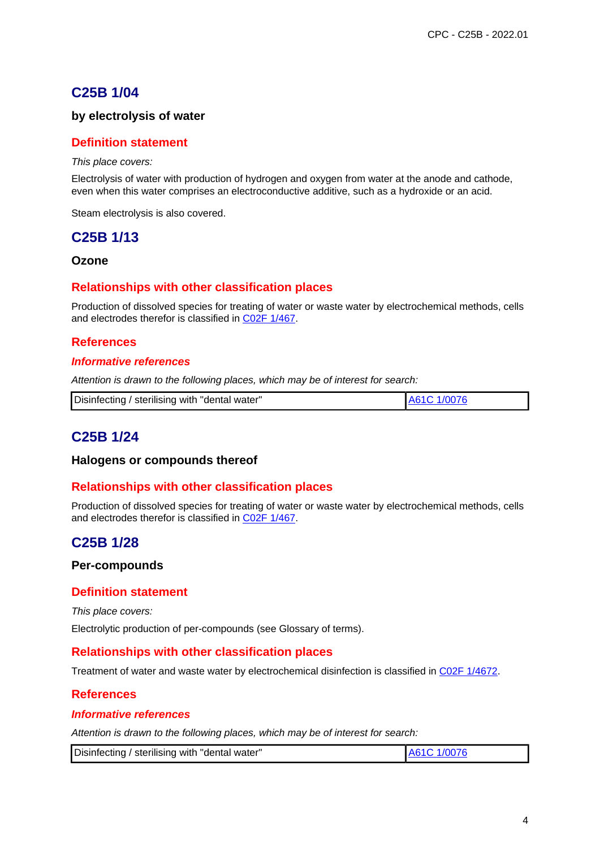## **C25B 1/04**

#### **by electrolysis of water**

#### **Definition statement**

This place covers:

Electrolysis of water with production of hydrogen and oxygen from water at the anode and cathode, even when this water comprises an electroconductive additive, such as a hydroxide or an acid.

Steam electrolysis is also covered.

## **C25B 1/13**

**Ozone**

#### **Relationships with other classification places**

Production of dissolved species for treating of water or waste water by electrochemical methods, cells and electrodes therefor is classified in C02F 1/467.

#### **References**

#### **Informative references**

Attention is drawn to the following places, which may be of interest for search:

| Disinfecting / sterilising with "dental water"<br>A61C 1/0076 |
|---------------------------------------------------------------|
|---------------------------------------------------------------|

## **C25B 1/24**

#### **Halogens or compounds thereof**

#### **Relationships with other classification places**

Production of dissolved species for treating of water or waste water by electrochemical methods, cells and electrodes therefor is classified in C02F 1/467.

## **C25B 1/28**

#### **Per-compounds**

#### **Definition statement**

This place covers:

Electrolytic production of per-compounds (see Glossary of terms).

#### **Relationships with other classification places**

Treatment of water and waste water by electrochemical disinfection is classified in C02F 1/4672.

#### **References**

#### **Informative references**

| Disinfecting / sterilising with "dental water" | 1/0076<br>A610 |
|------------------------------------------------|----------------|
|------------------------------------------------|----------------|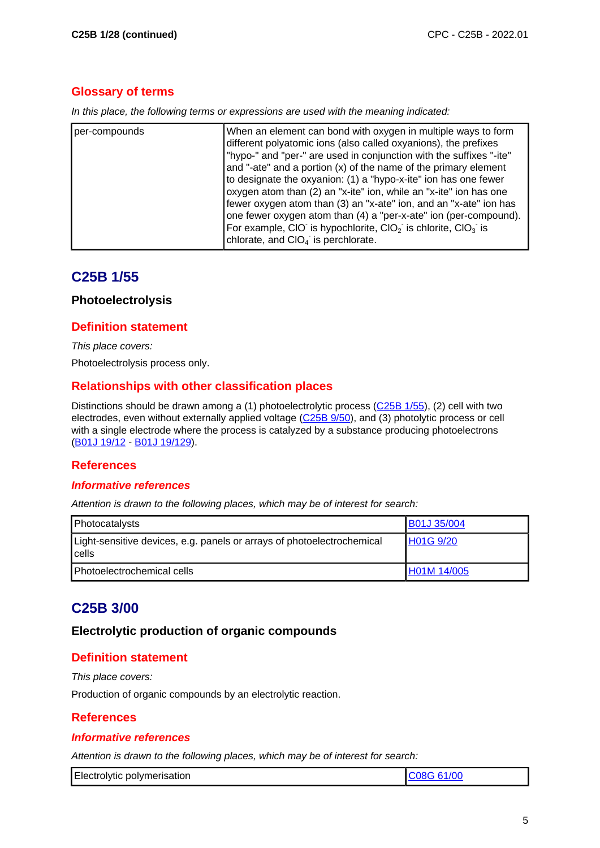### **Glossary of terms**

In this place, the following terms or expressions are used with the meaning indicated:

| per-compounds | When an element can bond with oxygen in multiple ways to form<br>different polyatomic ions (also called oxyanions), the prefixes<br>"hypo-" and "per-" are used in conjunction with the suffixes "-ite"<br>and "-ate" and a portion (x) of the name of the primary element<br>to designate the oxyanion: (1) a "hypo-x-ite" ion has one fewer<br>oxygen atom than (2) an "x-ite" ion, while an "x-ite" ion has one<br>fewer oxygen atom than (3) an "x-ate" ion, and an "x-ate" ion has<br>one fewer oxygen atom than (4) a "per-x-ate" ion (per-compound).<br>For example, CIO is hypochlorite, $ClO2$ is chlorite, $ClO3$ is |
|---------------|--------------------------------------------------------------------------------------------------------------------------------------------------------------------------------------------------------------------------------------------------------------------------------------------------------------------------------------------------------------------------------------------------------------------------------------------------------------------------------------------------------------------------------------------------------------------------------------------------------------------------------|
|               | chlorate, and CIO <sub>4</sub> is perchlorate.                                                                                                                                                                                                                                                                                                                                                                                                                                                                                                                                                                                 |

## **C25B 1/55**

#### **Photoelectrolysis**

#### **Definition statement**

This place covers:

Photoelectrolysis process only.

### **Relationships with other classification places**

Distinctions should be drawn among a (1) photoelectrolytic process (C25B 1/55), (2) cell with two electrodes, even without externally applied voltage (C<sub>25B 9</sub>/50), and (3) photolytic process or cell with a single electrode where the process is catalyzed by a substance producing photoelectrons (B01J 19/12 - B01J 19/129).

### **References**

#### **Informative references**

Attention is drawn to the following places, which may be of interest for search:

| Photocatalysts                                                                  | <b>B01J 35/004</b> |
|---------------------------------------------------------------------------------|--------------------|
| Light-sensitive devices, e.g. panels or arrays of photoelectrochemical<br>cells | H01G 9/20          |
| <b>Photoelectrochemical cells</b>                                               | H01M 14/005        |

# **C25B 3/00**

#### **Electrolytic production of organic compounds**

### **Definition statement**

This place covers:

Production of organic compounds by an electrolytic reaction.

### **References**

#### **Informative references**

| Electrolytic polymerisation |  |
|-----------------------------|--|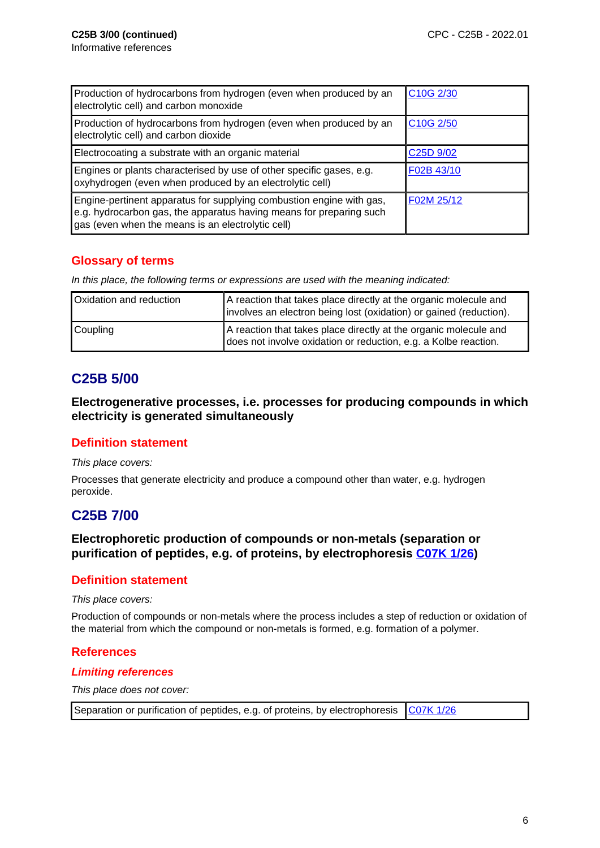| Production of hydrocarbons from hydrogen (even when produced by an<br>electrolytic cell) and carbon monoxide                                                                                     | C10G 2/30                         |
|--------------------------------------------------------------------------------------------------------------------------------------------------------------------------------------------------|-----------------------------------|
| Production of hydrocarbons from hydrogen (even when produced by an<br>electrolytic cell) and carbon dioxide                                                                                      | C <sub>10</sub> G <sub>2/50</sub> |
| Electrocoating a substrate with an organic material                                                                                                                                              | C <sub>25</sub> D <sub>9/02</sub> |
| Engines or plants characterised by use of other specific gases, e.g.<br>oxyhydrogen (even when produced by an electrolytic cell)                                                                 | F02B 43/10                        |
| Engine-pertinent apparatus for supplying combustion engine with gas,<br>e.g. hydrocarbon gas, the apparatus having means for preparing such<br>gas (even when the means is an electrolytic cell) | F02M 25/12                        |

## **Glossary of terms**

In this place, the following terms or expressions are used with the meaning indicated:

| Oxidation and reduction | A reaction that takes place directly at the organic molecule and<br>involves an electron being lost (oxidation) or gained (reduction). |
|-------------------------|----------------------------------------------------------------------------------------------------------------------------------------|
| Coupling                | A reaction that takes place directly at the organic molecule and<br>does not involve oxidation or reduction, e.g. a Kolbe reaction.    |

# **C25B 5/00**

**Electrogenerative processes, i.e. processes for producing compounds in which electricity is generated simultaneously**

### **Definition statement**

This place covers:

Processes that generate electricity and produce a compound other than water, e.g. hydrogen peroxide.

# **C25B 7/00**

**Electrophoretic production of compounds or non-metals (separation or purification of peptides, e.g. of proteins, by electrophoresis C07K 1/26)**

#### **Definition statement**

This place covers:

Production of compounds or non-metals where the process includes a step of reduction or oxidation of the material from which the compound or non-metals is formed, e.g. formation of a polymer.

### **References**

#### **Limiting references**

This place does not cover:

Separation or purification of peptides, e.g. of proteins, by electrophoresis  $\sqrt{\frac{C07K}{1/26}}$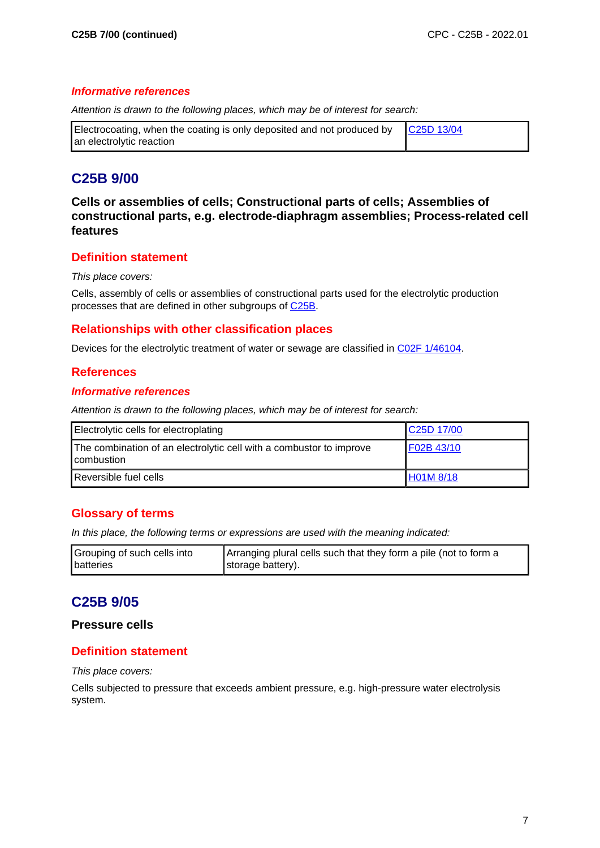#### **Informative references**

Attention is drawn to the following places, which may be of interest for search:

| Electrocoating, when the coating is only deposited and not produced by $\int \frac{C25D}{13/04}$ |  |
|--------------------------------------------------------------------------------------------------|--|
| an electrolytic reaction                                                                         |  |

# **C25B 9/00**

**Cells or assemblies of cells; Constructional parts of cells; Assemblies of constructional parts, e.g. electrode-diaphragm assemblies; Process-related cell features**

### **Definition statement**

#### This place covers:

Cells, assembly of cells or assemblies of constructional parts used for the electrolytic production processes that are defined in other subgroups of C25B.

#### **Relationships with other classification places**

Devices for the electrolytic treatment of water or sewage are classified in C02F 1/46104.

#### **References**

#### **Informative references**

Attention is drawn to the following places, which may be of interest for search:

| Electrolytic cells for electroplating                                             | C25D 17/00       |
|-----------------------------------------------------------------------------------|------------------|
| The combination of an electrolytic cell with a combustor to improve<br>combustion | F02B 43/10       |
| Reversible fuel cells                                                             | <b>H01M 8/18</b> |

### **Glossary of terms**

In this place, the following terms or expressions are used with the meaning indicated:

| Grouping of such cells into | Arranging plural cells such that they form a pile (not to form a |
|-----------------------------|------------------------------------------------------------------|
| batteries                   | Istorage battery).                                               |

# **C25B 9/05**

#### **Pressure cells**

#### **Definition statement**

This place covers:

Cells subjected to pressure that exceeds ambient pressure, e.g. high-pressure water electrolysis system.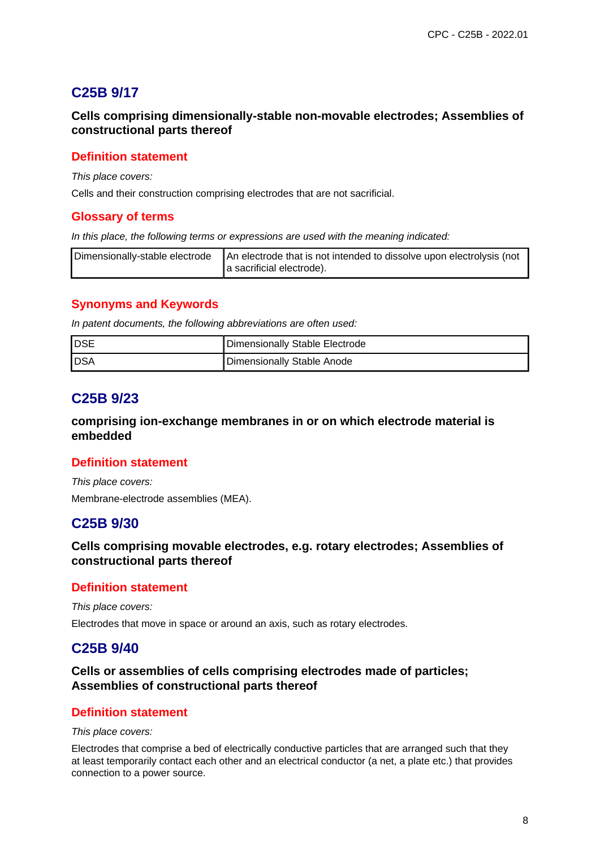# **C25B 9/17**

**Cells comprising dimensionally-stable non-movable electrodes; Assemblies of constructional parts thereof**

#### **Definition statement**

This place covers:

Cells and their construction comprising electrodes that are not sacrificial.

#### **Glossary of terms**

In this place, the following terms or expressions are used with the meaning indicated:

| $\Box$ Dimensionally-stable electrode $\Box$ An electrode that is not intended to dissolve upon electrolysis (not |
|-------------------------------------------------------------------------------------------------------------------|
| a sacrificial electrode).                                                                                         |

#### **Synonyms and Keywords**

In patent documents, the following abbreviations are often used:

| IDSE         | Dimensionally Stable Electrode |
|--------------|--------------------------------|
| <b>I</b> DSA | Dimensionally Stable Anode     |

## **C25B 9/23**

**comprising ion-exchange membranes in or on which electrode material is embedded**

#### **Definition statement**

This place covers: Membrane-electrode assemblies (MEA).

### **C25B 9/30**

**Cells comprising movable electrodes, e.g. rotary electrodes; Assemblies of constructional parts thereof**

#### **Definition statement**

This place covers:

Electrodes that move in space or around an axis, such as rotary electrodes.

### **C25B 9/40**

**Cells or assemblies of cells comprising electrodes made of particles; Assemblies of constructional parts thereof**

#### **Definition statement**

This place covers:

Electrodes that comprise a bed of electrically conductive particles that are arranged such that they at least temporarily contact each other and an electrical conductor (a net, a plate etc.) that provides connection to a power source.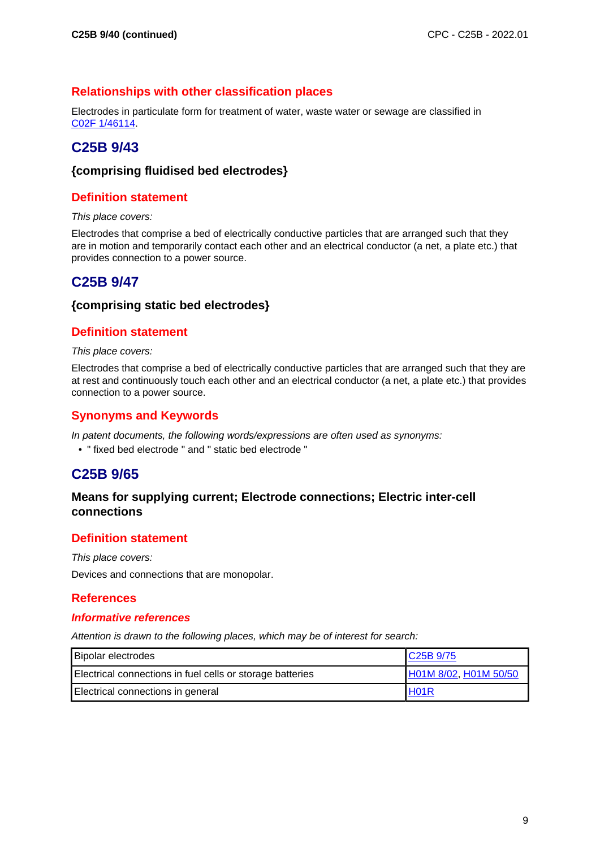### **Relationships with other classification places**

Electrodes in particulate form for treatment of water, waste water or sewage are classified in C02F 1/46114.

# **C25B 9/43**

#### **{comprising fluidised bed electrodes}**

### **Definition statement**

This place covers:

Electrodes that comprise a bed of electrically conductive particles that are arranged such that they are in motion and temporarily contact each other and an electrical conductor (a net, a plate etc.) that provides connection to a power source.

# **C25B 9/47**

#### **{comprising static bed electrodes}**

### **Definition statement**

This place covers:

Electrodes that comprise a bed of electrically conductive particles that are arranged such that they are at rest and continuously touch each other and an electrical conductor (a net, a plate etc.) that provides connection to a power source.

### **Synonyms and Keywords**

In patent documents, the following words/expressions are often used as synonyms:

• " fixed bed electrode " and " static bed electrode "

# **C25B 9/65**

#### **Means for supplying current; Electrode connections; Electric inter-cell connections**

### **Definition statement**

This place covers:

Devices and connections that are monopolar.

#### **References**

#### **Informative references**

| <b>Bipolar electrodes</b>                                 | C <sub>25</sub> B 9/75 |
|-----------------------------------------------------------|------------------------|
| Electrical connections in fuel cells or storage batteries | H01M 8/02, H01M 50/50  |
| Electrical connections in general                         | H <sub>01</sub> R      |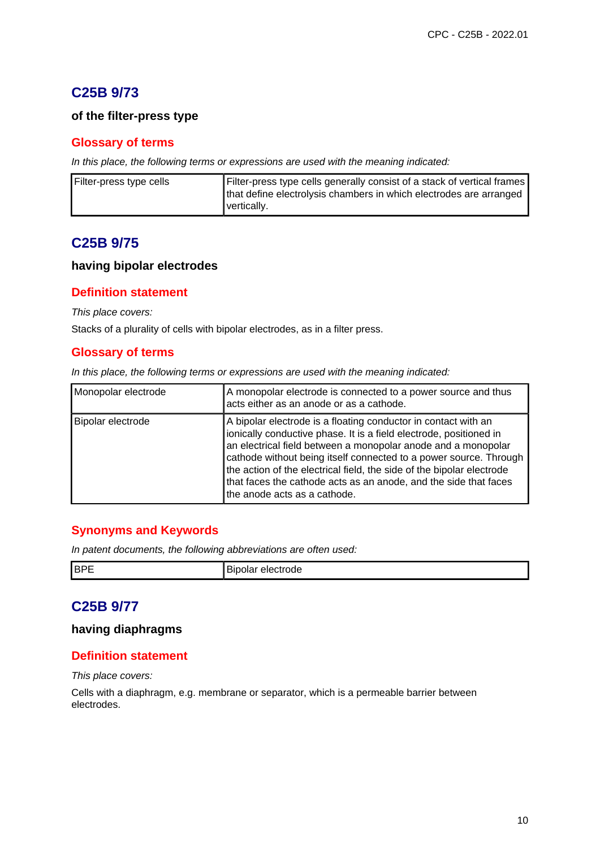# **C25B 9/73**

#### **of the filter-press type**

#### **Glossary of terms**

In this place, the following terms or expressions are used with the meaning indicated:

| Filter-press type cells | Filter-press type cells generally consist of a stack of vertical frames |
|-------------------------|-------------------------------------------------------------------------|
|                         | that define electrolysis chambers in which electrodes are arranged      |
|                         | vertically.                                                             |

## **C25B 9/75**

#### **having bipolar electrodes**

#### **Definition statement**

This place covers:

Stacks of a plurality of cells with bipolar electrodes, as in a filter press.

#### **Glossary of terms**

In this place, the following terms or expressions are used with the meaning indicated:

| Monopolar electrode | A monopolar electrode is connected to a power source and thus<br>acts either as an anode or as a cathode.                                                                                                                                                                                                                                                                                                                                               |
|---------------------|---------------------------------------------------------------------------------------------------------------------------------------------------------------------------------------------------------------------------------------------------------------------------------------------------------------------------------------------------------------------------------------------------------------------------------------------------------|
| Bipolar electrode   | A bipolar electrode is a floating conductor in contact with an<br>ionically conductive phase. It is a field electrode, positioned in<br>an electrical field between a monopolar anode and a monopolar<br>cathode without being itself connected to a power source. Through<br>the action of the electrical field, the side of the bipolar electrode<br>that faces the cathode acts as an anode, and the side that faces<br>the anode acts as a cathode. |

#### **Synonyms and Keywords**

In patent documents, the following abbreviations are often used:

| - | <b>I</b> BP | 3 L I<br>) ( 16 |
|---|-------------|-----------------|
|---|-------------|-----------------|

# **C25B 9/77**

#### **having diaphragms**

#### **Definition statement**

This place covers:

Cells with a diaphragm, e.g. membrane or separator, which is a permeable barrier between electrodes.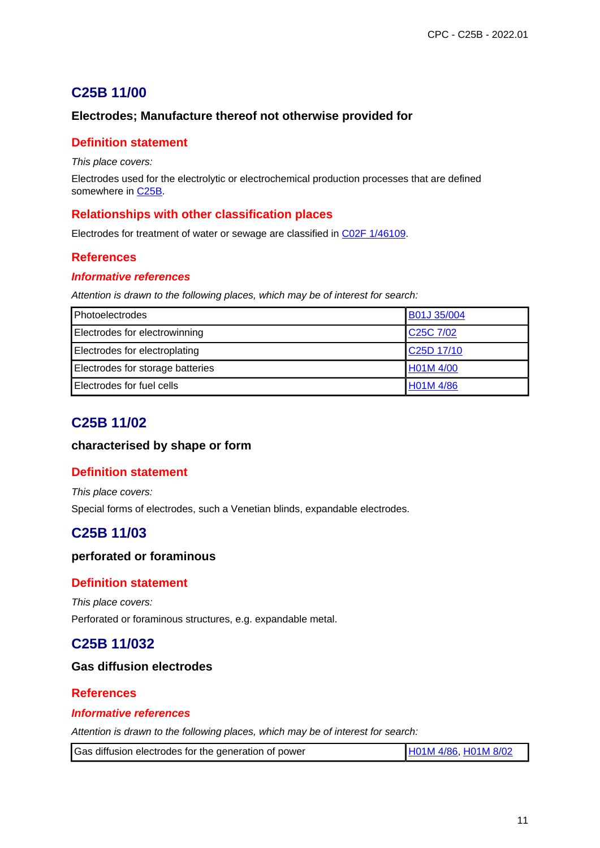# **C25B 11/00**

### **Electrodes; Manufacture thereof not otherwise provided for**

#### **Definition statement**

This place covers:

Electrodes used for the electrolytic or electrochemical production processes that are defined somewhere in C<sub>25B</sub>.

#### **Relationships with other classification places**

Electrodes for treatment of water or sewage are classified in C02F 1/46109.

### **References**

#### **Informative references**

Attention is drawn to the following places, which may be of interest for search:

| Photoelectrodes                  | B01J 35/004                        |
|----------------------------------|------------------------------------|
| Electrodes for electrowinning    | C <sub>25</sub> C 7/02             |
| Electrodes for electroplating    | C <sub>25</sub> D <sub>17/10</sub> |
| Electrodes for storage batteries | H01M 4/00                          |
| Electrodes for fuel cells        | H01M 4/86                          |

## **C25B 11/02**

#### **characterised by shape or form**

#### **Definition statement**

This place covers: Special forms of electrodes, such a Venetian blinds, expandable electrodes.

# **C25B 11/03**

#### **perforated or foraminous**

#### **Definition statement**

This place covers: Perforated or foraminous structures, e.g. expandable metal.

# **C25B 11/032**

#### **Gas diffusion electrodes**

### **References**

#### **Informative references**

Attention is drawn to the following places, which may be of interest for search:

Gas diffusion electrodes for the generation of power H01M 4/86, H01M 8/02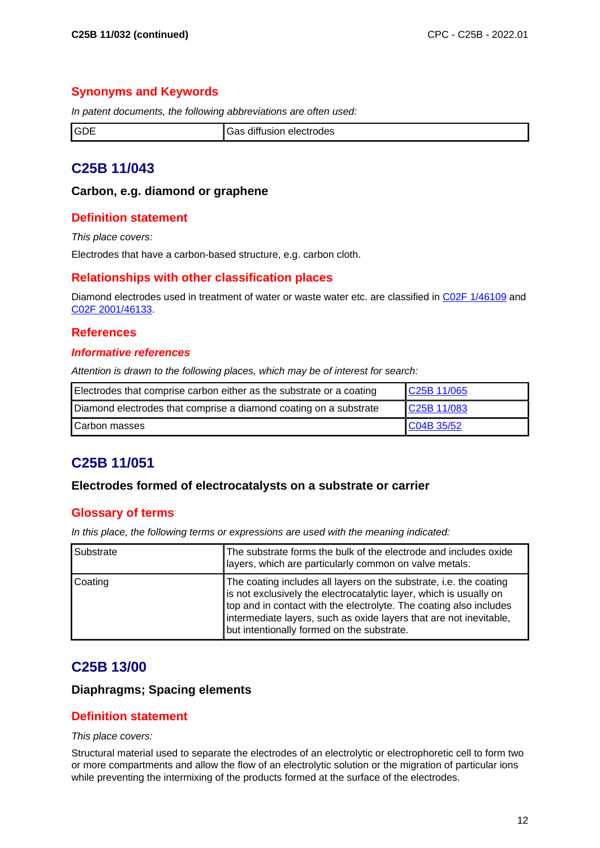### **Synonyms and Keywords**

In patent documents, the following abbreviations are often used:

|  | IGDE<br>⊣שט | .<br>- --<br>$\sim$<br>electrodes<br>amusion |
|--|-------------|----------------------------------------------|
|--|-------------|----------------------------------------------|

# **C25B 11/043**

#### **Carbon, e.g. diamond or graphene**

#### **Definition statement**

This place covers:

Electrodes that have a carbon-based structure, e.g. carbon cloth.

#### **Relationships with other classification places**

Diamond electrodes used in treatment of water or waste water etc. are classified in C02F 1/46109 and C02F 2001/46133.

#### **References**

#### **Informative references**

Attention is drawn to the following places, which may be of interest for search:

| Electrodes that comprise carbon either as the substrate or a coating | C25B 11/065 |
|----------------------------------------------------------------------|-------------|
| Diamond electrodes that comprise a diamond coating on a substrate    | C25B 11/083 |
| Carbon masses                                                        | C04B 35/52  |

# **C25B 11/051**

#### **Electrodes formed of electrocatalysts on a substrate or carrier**

#### **Glossary of terms**

In this place, the following terms or expressions are used with the meaning indicated:

| Substrate | The substrate forms the bulk of the electrode and includes oxide<br>layers, which are particularly common on valve metals.                                                                                                                                                                                                         |
|-----------|------------------------------------------------------------------------------------------------------------------------------------------------------------------------------------------------------------------------------------------------------------------------------------------------------------------------------------|
| Coating   | The coating includes all layers on the substrate, i.e. the coating<br>is not exclusively the electrocatalytic layer, which is usually on<br>top and in contact with the electrolyte. The coating also includes<br>intermediate layers, such as oxide layers that are not inevitable,<br>but intentionally formed on the substrate. |

## **C25B 13/00**

#### **Diaphragms; Spacing elements**

#### **Definition statement**

#### This place covers:

Structural material used to separate the electrodes of an electrolytic or electrophoretic cell to form two or more compartments and allow the flow of an electrolytic solution or the migration of particular ions while preventing the intermixing of the products formed at the surface of the electrodes.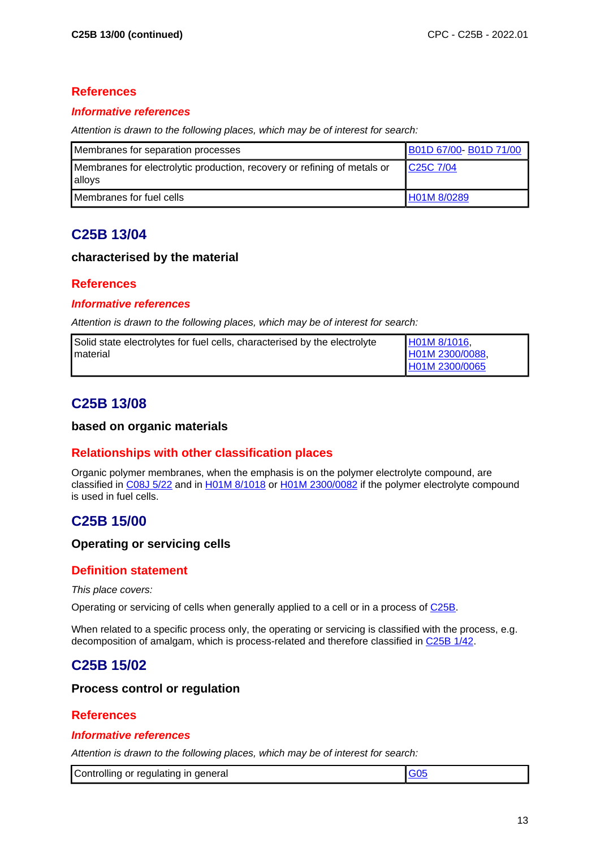#### **References**

#### **Informative references**

Attention is drawn to the following places, which may be of interest for search:

| Membranes for separation processes                                                 | B01D 67/00-B01D 71/00  |
|------------------------------------------------------------------------------------|------------------------|
| Membranes for electrolytic production, recovery or refining of metals or<br>alloys | C <sub>25</sub> C 7/04 |
| Membranes for fuel cells                                                           | H01M 8/0289            |

# **C25B 13/04**

#### **characterised by the material**

#### **References**

#### **Informative references**

Attention is drawn to the following places, which may be of interest for search:

| Solid state electrolytes for fuel cells, characterised by the electrolyte | H01M 8/1016,    |
|---------------------------------------------------------------------------|-----------------|
| <b>I</b> material                                                         | H01M 2300/0088, |
|                                                                           | H01M 2300/0065  |

# **C25B 13/08**

#### **based on organic materials**

#### **Relationships with other classification places**

Organic polymer membranes, when the emphasis is on the polymer electrolyte compound, are classified in C08J 5/22 and in H01M 8/1018 or H01M 2300/0082 if the polymer electrolyte compound is used in fuel cells.

# **C25B 15/00**

#### **Operating or servicing cells**

#### **Definition statement**

This place covers:

Operating or servicing of cells when generally applied to a cell or in a process of C25B.

When related to a specific process only, the operating or servicing is classified with the process, e.g. decomposition of amalgam, which is process-related and therefore classified in C25B 1/42.

# **C25B 15/02**

#### **Process control or regulation**

### **References**

#### **Informative references**

| Controlling or regulating in<br>general |  |
|-----------------------------------------|--|